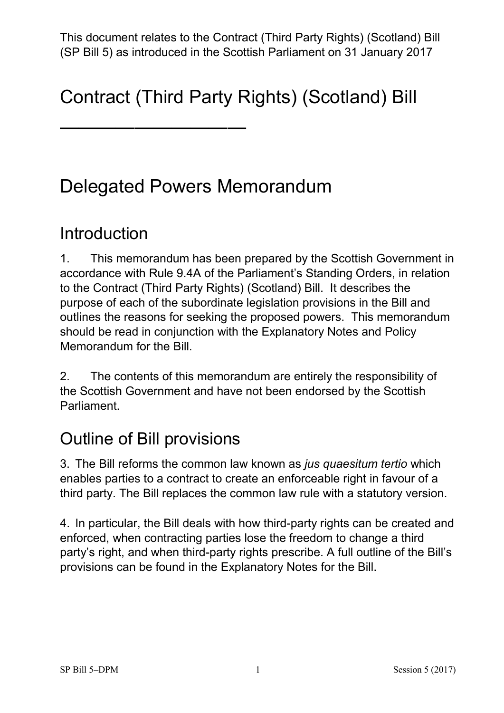# Contract (Third Party Rights) (Scotland) Bill

——————————

## Delegated Powers Memorandum

### **Introduction**

 1. This memorandum has been prepared by the Scottish Government in accordance with Rule 9.4A of the Parliament's Standing Orders, in relation to the Contract (Third Party Rights) (Scotland) Bill. It describes the purpose of each of the subordinate legislation provisions in the Bill and outlines the reasons for seeking the proposed powers. This memorandum should be read in conjunction with the Explanatory Notes and Policy Memorandum for the Bill

2. The contents of this memorandum are entirely the responsibility of the Scottish Government and have not been endorsed by the Scottish Parliament.

### Outline of Bill provisions

 3. The Bill reforms the common law known as *jus quaesitum tertio* which enables parties to a contract to create an enforceable right in favour of a third party. The Bill replaces the common law rule with a statutory version.

 party's right, and when third-party rights prescribe. A full outline of the Bill's 4. In particular, the Bill deals with how third-party rights can be created and enforced, when contracting parties lose the freedom to change a third provisions can be found in the Explanatory Notes for the Bill.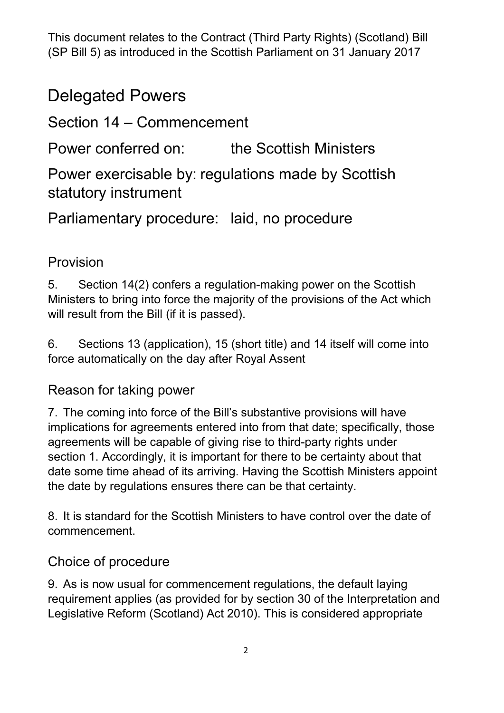(SP Bill 5) as introduced in the Scottish Parliament on 31 January 2017 This document relates to the Contract (Third Party Rights) (Scotland) Bill

### Delegated Powers

Section 14 – Commencement

Power conferred on: the Scottish Ministers

Power exercisable by: regulations made by Scottish statutory instrument

Parliamentary procedure: laid, no procedure

#### Provision

 5. Section 14(2) confers a regulation-making power on the Scottish Ministers to bring into force the majority of the provisions of the Act which will result from the Bill (if it is passed).

6. Sections 13 (application), 15 (short title) and 14 itself will come into force automatically on the day after Royal Assent

#### Reason for taking power

 implications for agreements entered into from that date; specifically, those date some time ahead of its arriving. Having the Scottish Ministers appoint the date by regulations ensures there can be that certainty. 7. The coming into force of the Bill's substantive provisions will have agreements will be capable of giving rise to third-party rights under section 1. Accordingly, it is important for there to be certainty about that

8. It is standard for the Scottish Ministers to have control over the date of commencement.

#### Choice of procedure

 9. As is now usual for commencement regulations, the default laying requirement applies (as provided for by section 30 of the Interpretation and Legislative Reform (Scotland) Act 2010). This is considered appropriate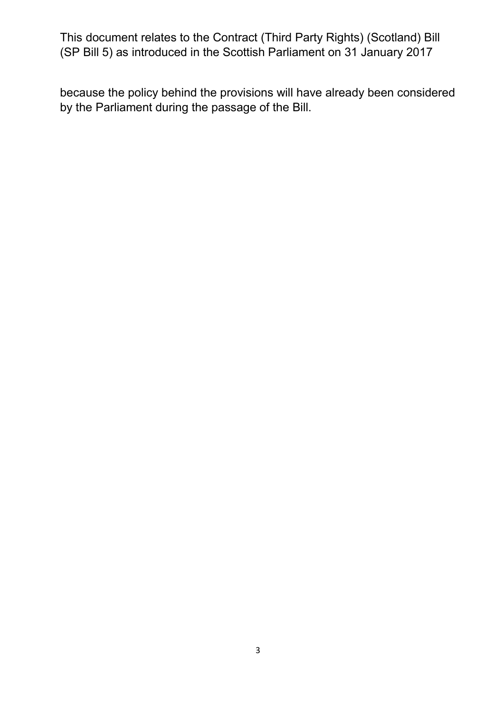(SP Bill 5) as introduced in the Scottish Parliament on 31 January 2017 This document relates to the Contract (Third Party Rights) (Scotland) Bill

 by the Parliament during the passage of the Bill. because the policy behind the provisions will have already been considered